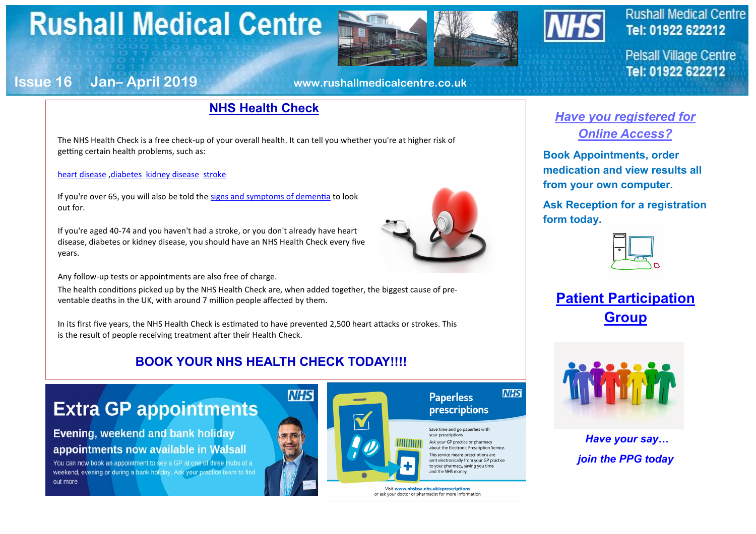# **Rushall Medical Centre**





### **Rushall Medical Centre** Tel: 01922 622212

**Pelsall Village Centre** Tel: 01922 622212

### **Issue 16 Jan– April 2019 www.rushallmedicalcentre.co.uk**

### **NHS Health Check**

The NHS Health Check is a free check-up of your overall health. It can tell you whether you're at higher risk of getting certain health problems, such as:

#### [heart disease](https://www.nhs.uk/conditions/coronary-heart-disease/) [,diabetes](https://www.nhs.uk/conditions/diabetes/) [kidney disease](https://www.nhs.uk/conditions/kidney-disease/) [stroke](https://www.nhs.uk/conditions/stroke/)

If you're over 65, you will also be told the [signs and symptoms of dementia](https://www.nhs.uk/conditions/dementia/symptoms/) to look out for.

If you're aged 40-74 and you haven't had a stroke, or you don't already have heart disease, diabetes or kidney disease, you should have an NHS Health Check every five years.

Any follow-up tests or appointments are also free of charge.

The health conditions picked up by the NHS Health Check are, when added together, the biggest cause of preventable deaths in the UK, with around 7 million people affected by them.

In its first five years, the NHS Health Check is estimated to have prevented 2,500 heart attacks or strokes. This is the result of people receiving treatment after their Health Check.

### **BOOK YOUR NHS HEALTH CHECK TODAY!!!!**

## **Extra GP appointments**

**Evening, weekend and bank holiday** appointments now available in Walsall

You can now book an appointment to see a GP at one of three Hubs of a weekend, evening or during a bank holiday. Ask your practice team to find out more



or ask your doctor or pharmacist for more information

### *Have you registered for Online Access?*

**Book Appointments, order medication and view results all from your own computer.**

**Ask Reception for a registration form today.** 



**Patient Participation Group**



*Have your say… join the PPG today*